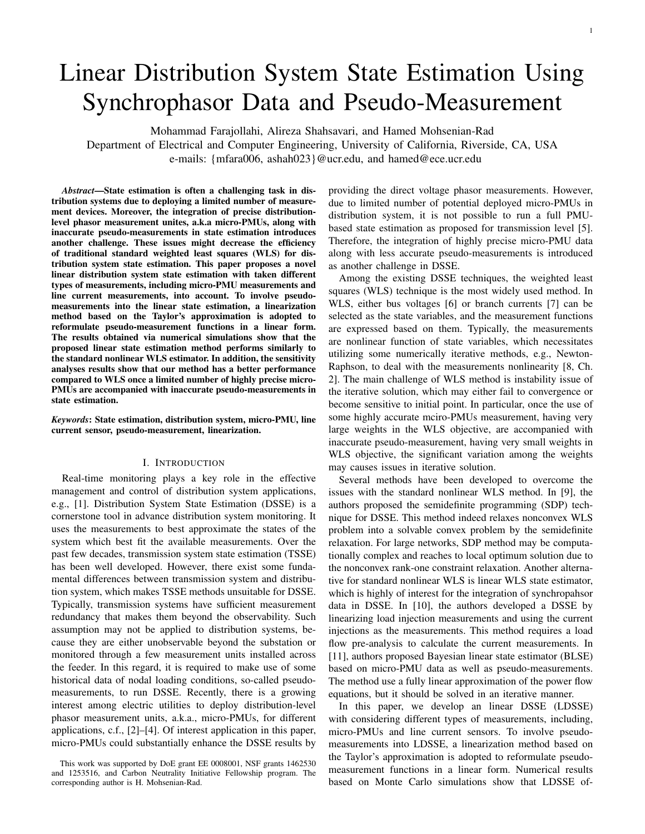# 1

# Linear Distribution System State Estimation Using Synchrophasor Data and Pseudo-Measurement

Mohammad Farajollahi, Alireza Shahsavari, and Hamed Mohsenian-Rad

Department of Electrical and Computer Engineering, University of California, Riverside, CA, USA e-mails: {mfara006, ashah023}@ucr.edu, and hamed@ece.ucr.edu

*Abstract*—State estimation is often a challenging task in distribution systems due to deploying a limited number of measurement devices. Moreover, the integration of precise distributionlevel phasor measurement unites, a.k.a micro-PMUs, along with inaccurate pseudo-measurements in state estimation introduces another challenge. These issues might decrease the efficiency of traditional standard weighted least squares (WLS) for distribution system state estimation. This paper proposes a novel linear distribution system state estimation with taken different types of measurements, including micro-PMU measurements and line current measurements, into account. To involve pseudomeasurements into the linear state estimation, a linearization method based on the Taylor's approximation is adopted to reformulate pseudo-measurement functions in a linear form. The results obtained via numerical simulations show that the proposed linear state estimation method performs similarly to the standard nonlinear WLS estimator. In addition, the sensitivity analyses results show that our method has a better performance compared to WLS once a limited number of highly precise micro-PMUs are accompanied with inaccurate pseudo-measurements in state estimation.

*Keywords*: State estimation, distribution system, micro-PMU, line current sensor, pseudo-measurement, linearization.

# I. INTRODUCTION

Real-time monitoring plays a key role in the effective management and control of distribution system applications, e.g., [1]. Distribution System State Estimation (DSSE) is a cornerstone tool in advance distribution system monitoring. It uses the measurements to best approximate the states of the system which best fit the available measurements. Over the past few decades, transmission system state estimation (TSSE) has been well developed. However, there exist some fundamental differences between transmission system and distribution system, which makes TSSE methods unsuitable for DSSE. Typically, transmission systems have sufficient measurement redundancy that makes them beyond the observability. Such assumption may not be applied to distribution systems, because they are either unobservable beyond the substation or monitored through a few measurement units installed across the feeder. In this regard, it is required to make use of some historical data of nodal loading conditions, so-called pseudomeasurements, to run DSSE. Recently, there is a growing interest among electric utilities to deploy distribution-level phasor measurement units, a.k.a., micro-PMUs, for different applications, c.f., [2]–[4]. Of interest application in this paper, micro-PMUs could substantially enhance the DSSE results by

providing the direct voltage phasor measurements. However, due to limited number of potential deployed micro-PMUs in distribution system, it is not possible to run a full PMUbased state estimation as proposed for transmission level [5]. Therefore, the integration of highly precise micro-PMU data along with less accurate pseudo-measurements is introduced as another challenge in DSSE.

Among the existing DSSE techniques, the weighted least squares (WLS) technique is the most widely used method. In WLS, either bus voltages [6] or branch currents [7] can be selected as the state variables, and the measurement functions are expressed based on them. Typically, the measurements are nonlinear function of state variables, which necessitates utilizing some numerically iterative methods, e.g., Newton-Raphson, to deal with the measurements nonlinearity [8, Ch. 2]. The main challenge of WLS method is instability issue of the iterative solution, which may either fail to convergence or become sensitive to initial point. In particular, once the use of some highly accurate mciro-PMUs measurement, having very large weights in the WLS objective, are accompanied with inaccurate pseudo-measurement, having very small weights in WLS objective, the significant variation among the weights may causes issues in iterative solution.

Several methods have been developed to overcome the issues with the standard nonlinear WLS method. In [9], the authors proposed the semidefinite programming (SDP) technique for DSSE. This method indeed relaxes nonconvex WLS problem into a solvable convex problem by the semidefinite relaxation. For large networks, SDP method may be computationally complex and reaches to local optimum solution due to the nonconvex rank-one constraint relaxation. Another alternative for standard nonlinear WLS is linear WLS state estimator, which is highly of interest for the integration of synchropahsor data in DSSE. In [10], the authors developed a DSSE by linearizing load injection measurements and using the current injections as the measurements. This method requires a load flow pre-analysis to calculate the current measurements. In [11], authors proposed Bayesian linear state estimator (BLSE) based on micro-PMU data as well as pseudo-measurements. The method use a fully linear approximation of the power flow equations, but it should be solved in an iterative manner.

In this paper, we develop an linear DSSE (LDSSE) with considering different types of measurements, including, micro-PMUs and line current sensors. To involve pseudomeasurements into LDSSE, a linearization method based on the Taylor's approximation is adopted to reformulate pseudomeasurement functions in a linear form. Numerical results based on Monte Carlo simulations show that LDSSE of-

This work was supported by DoE grant EE 0008001, NSF grants 1462530 and 1253516, and Carbon Neutrality Initiative Fellowship program. The corresponding author is H. Mohsenian-Rad.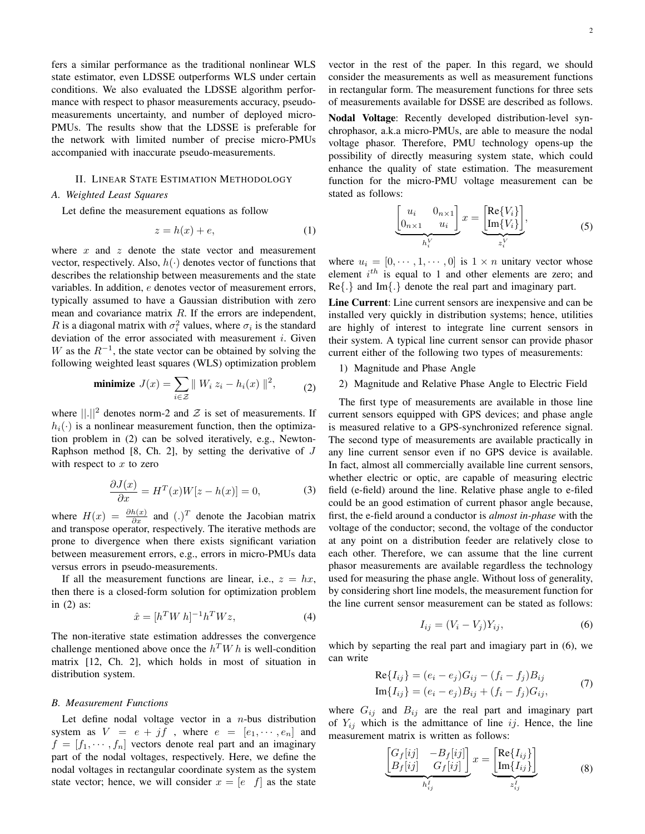fers a similar performance as the traditional nonlinear WLS state estimator, even LDSSE outperforms WLS under certain conditions. We also evaluated the LDSSE algorithm performance with respect to phasor measurements accuracy, pseudomeasurements uncertainty, and number of deployed micro-PMUs. The results show that the LDSSE is preferable for the network with limited number of precise micro-PMUs accompanied with inaccurate pseudo-measurements.

# II. LINEAR STATE ESTIMATION METHODOLOGY

# *A. Weighted Least Squares*

Let define the measurement equations as follow

$$
z = h(x) + e,\tag{1}
$$

where  $x$  and  $z$  denote the state vector and measurement vector, respectively. Also,  $h(\cdot)$  denotes vector of functions that describes the relationship between measurements and the state variables. In addition, e denotes vector of measurement errors, typically assumed to have a Gaussian distribution with zero mean and covariance matrix  $R$ . If the errors are independent, R is a diagonal matrix with  $\sigma_i^2$  values, where  $\sigma_i$  is the standard deviation of the error associated with measurement  $i$ . Given W as the  $R^{-1}$ , the state vector can be obtained by solving the following weighted least squares (WLS) optimization problem

minimize 
$$
J(x) = \sum_{i \in \mathcal{Z}} ||W_i z_i - h_i(x)||^2
$$
, (2)

where  $\lVert . \rVert^2$  denotes norm-2 and  $\mathcal Z$  is set of measurements. If  $h_i(\cdot)$  is a nonlinear measurement function, then the optimization problem in (2) can be solved iteratively, e.g., Newton-Raphson method  $[8, Ch. 2]$ , by setting the derivative of  $J$ with respect to  $x$  to zero

$$
\frac{\partial J(x)}{\partial x} = H^T(x)W[z - h(x)] = 0,\t(3)
$$

where  $H(x) = \frac{\partial h(x)}{\partial x}$  and  $(.)^T$  denote the Jacobian matrix and transpose operator, respectively. The iterative methods are prone to divergence when there exists significant variation between measurement errors, e.g., errors in micro-PMUs data versus errors in pseudo-measurements.

If all the measurement functions are linear, i.e.,  $z = hx$ , then there is a closed-form solution for optimization problem in (2) as:

$$
\hat{x} = [h^T W h]^{-1} h^T W z,\tag{4}
$$

The non-iterative state estimation addresses the convergence challenge mentioned above once the  $h^T W h$  is well-condition matrix [12, Ch. 2], which holds in most of situation in distribution system.

#### *B. Measurement Functions*

Let define nodal voltage vector in a  $n$ -bus distribution system as  $V = e + jf$ , where  $e = [e_1, \dots, e_n]$  and  $f = [f_1, \dots, f_n]$  vectors denote real part and an imaginary part of the nodal voltages, respectively. Here, we define the nodal voltages in rectangular coordinate system as the system state vector; hence, we will consider  $x = [e \ f]$  as the state Nodal Voltage: Recently developed distribution-level synchrophasor, a.k.a micro-PMUs, are able to measure the nodal voltage phasor. Therefore, PMU technology opens-up the possibility of directly measuring system state, which could enhance the quality of state estimation. The measurement function for the micro-PMU voltage measurement can be stated as follows:

of measurements available for DSSE are described as follows.

$$
\underbrace{\begin{bmatrix} u_i & 0_{n \times 1} \\ 0_{n \times 1} & u_i \end{bmatrix}}_{h_i^V} x = \underbrace{\begin{bmatrix} \text{Re}\{V_i\} \\ \text{Im}\{V_i\} \end{bmatrix}}_{z_i^V},
$$
(5)

where  $u_i = [0, \dots, 1, \dots, 0]$  is  $1 \times n$  unitary vector whose element  $i^{th}$  is equal to 1 and other elements are zero; and Re{.} and Im{.} denote the real part and imaginary part.

Line Current: Line current sensors are inexpensive and can be installed very quickly in distribution systems; hence, utilities are highly of interest to integrate line current sensors in their system. A typical line current sensor can provide phasor current either of the following two types of measurements:

- 1) Magnitude and Phase Angle
- 2) Magnitude and Relative Phase Angle to Electric Field

The first type of measurements are available in those line current sensors equipped with GPS devices; and phase angle is measured relative to a GPS-synchronized reference signal. The second type of measurements are available practically in any line current sensor even if no GPS device is available. In fact, almost all commercially available line current sensors, whether electric or optic, are capable of measuring electric field (e-field) around the line. Relative phase angle to e-filed could be an good estimation of current phasor angle because, first, the e-field around a conductor is *almost in-phase* with the voltage of the conductor; second, the voltage of the conductor at any point on a distribution feeder are relatively close to each other. Therefore, we can assume that the line current phasor measurements are available regardless the technology used for measuring the phase angle. Without loss of generality, by considering short line models, the measurement function for the line current sensor measurement can be stated as follows:

$$
I_{ij} = (V_i - V_j)Y_{ij},\tag{6}
$$

which by separting the real part and imagiary part in (6), we can write

$$
Re{I_{ij}} = (e_i - e_j)G_{ij} - (f_i - f_j)B_{ij}
$$
  
\n
$$
Im{I_{ij}} = (e_i - e_j)B_{ij} + (f_i - f_j)G_{ij},
$$
\n(7)

where  $G_{ij}$  and  $B_{ij}$  are the real part and imaginary part of  $Y_{ij}$  which is the admittance of line ij. Hence, the line measurement matrix is written as follows:

$$
\underbrace{\begin{bmatrix} G_f[ij] & -B_f[ij] \\ B_f[ij] & G_f[ij] \end{bmatrix}}_{h'_{ij}} x = \underbrace{\begin{bmatrix} \text{Re}\{I_{ij}\} \\ \text{Im}\{I_{ij}\} \end{bmatrix}}_{z'_{ij}} \tag{8}
$$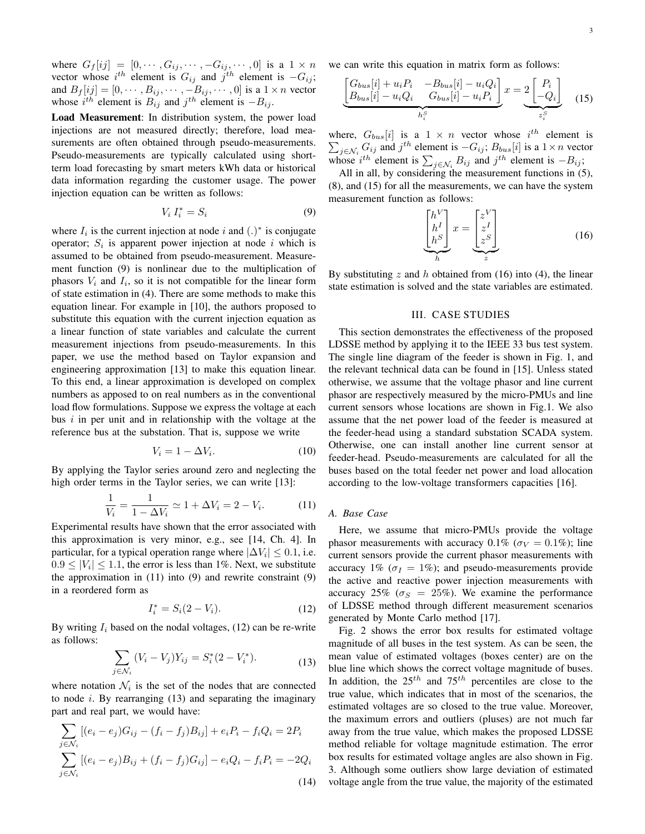where  $G_f[ij] = [0, \cdots, G_{ij}, \cdots, -G_{ij}, \cdots, 0]$  is a  $1 \times n$ vector whose  $i^{th}$  element is  $G_{ij}$  and  $j^{th}$  element is  $-G_{ij}$ ; and  $B_f[ij] = [0, \cdots, B_{ij}, \cdots, -B_{ij}, \cdots, 0]$  is a  $1 \times n$  vector whose  $i^{th}$  element is  $B_{ij}$  and  $j^{th}$  element is  $-B_{ij}$ .

Load Measurement: In distribution system, the power load injections are not measured directly; therefore, load measurements are often obtained through pseudo-measurements. Pseudo-measurements are typically calculated using shortterm load forecasting by smart meters kWh data or historical data information regarding the customer usage. The power injection equation can be written as follows:

$$
V_i I_i^* = S_i \tag{9}
$$

where  $I_i$  is the current injection at node i and  $(.)^*$  is conjugate operator;  $S_i$  is apparent power injection at node i which is assumed to be obtained from pseudo-measurement. Measurement function (9) is nonlinear due to the multiplication of phasors  $V_i$  and  $I_i$ , so it is not compatible for the linear form of state estimation in (4). There are some methods to make this equation linear. For example in [10], the authors proposed to substitute this equation with the current injection equation as a linear function of state variables and calculate the current measurement injections from pseudo-measurements. In this paper, we use the method based on Taylor expansion and engineering approximation [13] to make this equation linear. To this end, a linear approximation is developed on complex numbers as apposed to on real numbers as in the conventional load flow formulations. Suppose we express the voltage at each bus  $i$  in per unit and in relationship with the voltage at the reference bus at the substation. That is, suppose we write

$$
V_i = 1 - \Delta V_i. \tag{10}
$$

By applying the Taylor series around zero and neglecting the high order terms in the Taylor series, we can write [13]:

$$
\frac{1}{V_i} = \frac{1}{1 - \Delta V_i} \simeq 1 + \Delta V_i = 2 - V_i.
$$
 (11)

Experimental results have shown that the error associated with this approximation is very minor, e.g., see [14, Ch. 4]. In particular, for a typical operation range where  $|\Delta V_i| \leq 0.1$ , i.e.  $0.9 \leq |V_i| \leq 1.1$ , the error is less than 1%. Next, we substitute the approximation in (11) into (9) and rewrite constraint (9) in a reordered form as

$$
I_i^* = S_i(2 - V_i). \tag{12}
$$

By writing  $I_i$  based on the nodal voltages, (12) can be re-write as follows:

$$
\sum_{j \in \mathcal{N}_i} (V_i - V_j) Y_{ij} = S_i^*(2 - V_i^*).
$$
 (13)

where notation  $\mathcal{N}_i$  is the set of the nodes that are connected to node  $i$ . By rearranging  $(13)$  and separating the imaginary part and real part, we would have:

$$
\sum_{j \in \mathcal{N}_i} [(e_i - e_j)G_{ij} - (f_i - f_j)B_{ij}] + e_i P_i - f_i Q_i = 2P_i
$$
  

$$
\sum_{j \in \mathcal{N}_i} [(e_i - e_j)B_{ij} + (f_i - f_j)G_{ij}] - e_i Q_i - f_i P_i = -2Q_i
$$
  
(14)

we can write this equation in matrix form as follows:

$$
\underbrace{\begin{bmatrix} G_{bus}[i] + u_i P_i & -B_{bus}[i] - u_i Q_i \\ B_{bus}[i] - u_i Q_i & G_{bus}[i] - u_i P_i \end{bmatrix}}_{h_i^S} x = 2 \underbrace{\begin{bmatrix} P_i \\ -Q_i \end{bmatrix}}_{z_i^S} \tag{15}
$$

where,  $G_{bus}[i]$  is a  $1 \times n$  vector whose  $i^{th}$  element is  $\sum_{j \in \mathcal{N}_i} G_{ij}$  and  $j^{th}$  element is  $-G_{ij}$ ;  $B_{bus}[i]$  is a  $1 \times n$  vector whose  $i^{th}$  element is  $\sum_{j \in \mathcal{N}_i} B_{ij}$  and  $j^{th}$  element is  $-B_{ij}$ ;

All in all, by considering the measurement functions in (5), (8), and (15) for all the measurements, we can have the system measurement function as follows:

$$
\underbrace{\begin{bmatrix} h^V \\ h^I \\ h^S \end{bmatrix}}_{h} x = \underbrace{\begin{bmatrix} z^V \\ z^I \\ z^S \end{bmatrix}}_{z}
$$
\n(16)

By substituting z and h obtained from  $(16)$  into  $(4)$ , the linear state estimation is solved and the state variables are estimated.

#### III. CASE STUDIES

This section demonstrates the effectiveness of the proposed LDSSE method by applying it to the IEEE 33 bus test system. The single line diagram of the feeder is shown in Fig. 1, and the relevant technical data can be found in [15]. Unless stated otherwise, we assume that the voltage phasor and line current phasor are respectively measured by the micro-PMUs and line current sensors whose locations are shown in Fig.1. We also assume that the net power load of the feeder is measured at the feeder-head using a standard substation SCADA system. Otherwise, one can install another line current sensor at feeder-head. Pseudo-measurements are calculated for all the buses based on the total feeder net power and load allocation according to the low-voltage transformers capacities [16].

# *A. Base Case*

Here, we assume that micro-PMUs provide the voltage phasor measurements with accuracy 0.1% ( $\sigma_V = 0.1\%$ ); line current sensors provide the current phasor measurements with accuracy 1% ( $\sigma_I = 1\%$ ); and pseudo-measurements provide the active and reactive power injection measurements with accuracy 25% ( $\sigma_S = 25\%$ ). We examine the performance of LDSSE method through different measurement scenarios generated by Monte Carlo method [17].

Fig. 2 shows the error box results for estimated voltage magnitude of all buses in the test system. As can be seen, the mean value of estimated voltages (boxes center) are on the blue line which shows the correct voltage magnitude of buses. In addition, the  $25^{th}$  and  $75^{th}$  percentiles are close to the true value, which indicates that in most of the scenarios, the estimated voltages are so closed to the true value. Moreover, the maximum errors and outliers (pluses) are not much far away from the true value, which makes the proposed LDSSE method reliable for voltage magnitude estimation. The error box results for estimated voltage angles are also shown in Fig. 3. Although some outliers show large deviation of estimated voltage angle from the true value, the majority of the estimated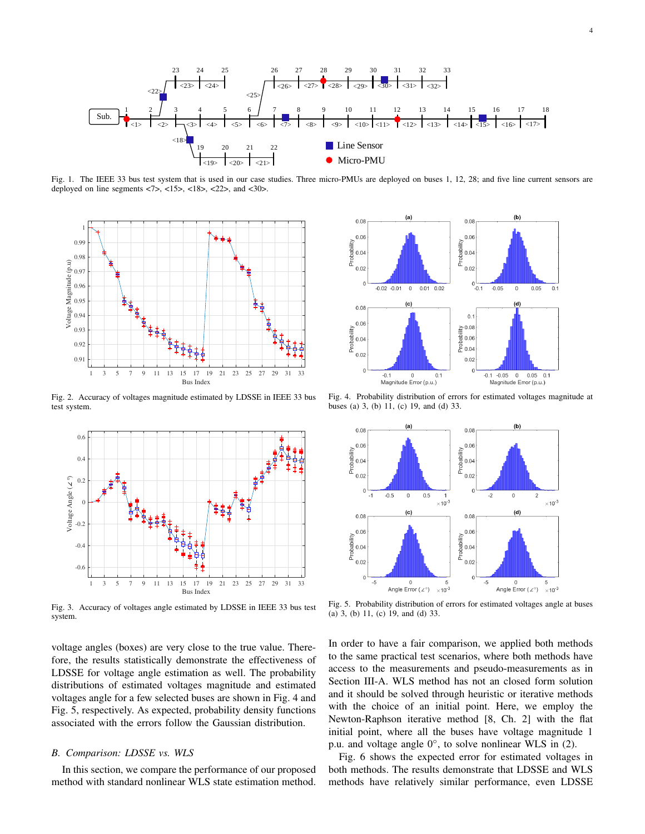

Fig. 1. The IEEE 33 bus test system that is used in our case studies. Three micro-PMUs are deployed on buses 1, 12, 28; and five line current sensors are deployed on line segments  $\langle 7 \rangle$ ,  $\langle 15 \rangle$ ,  $\langle 18 \rangle$ ,  $\langle 22 \rangle$ , and  $\langle 30 \rangle$ .



Fig. 2. Accuracy of voltages magnitude estimated by LDSSE in IEEE 33 bus test system.



Fig. 3. Accuracy of voltages angle estimated by LDSSE in IEEE 33 bus test system.

voltage angles (boxes) are very close to the true value. Therefore, the results statistically demonstrate the effectiveness of LDSSE for voltage angle estimation as well. The probability distributions of estimated voltages magnitude and estimated voltages angle for a few selected buses are shown in Fig. 4 and Fig. 5, respectively. As expected, probability density functions associated with the errors follow the Gaussian distribution.

# *B. Comparison: LDSSE vs. WLS*

In this section, we compare the performance of our proposed method with standard nonlinear WLS state estimation method.



Fig. 4. Probability distribution of errors for estimated voltages magnitude at buses (a) 3, (b) 11, (c) 19, and (d) 33.



Fig. 5. Probability distribution of errors for estimated voltages angle at buses (a) 3, (b) 11, (c) 19, and (d) 33.

In order to have a fair comparison, we applied both methods to the same practical test scenarios, where both methods have access to the measurements and pseudo-measurements as in Section III-A. WLS method has not an closed form solution and it should be solved through heuristic or iterative methods with the choice of an initial point. Here, we employ the Newton-Raphson iterative method [8, Ch. 2] with the flat initial point, where all the buses have voltage magnitude 1 p.u. and voltage angle  $0^\circ$ , to solve nonlinear WLS in (2).

Fig. 6 shows the expected error for estimated voltages in both methods. The results demonstrate that LDSSE and WLS methods have relatively similar performance, even LDSSE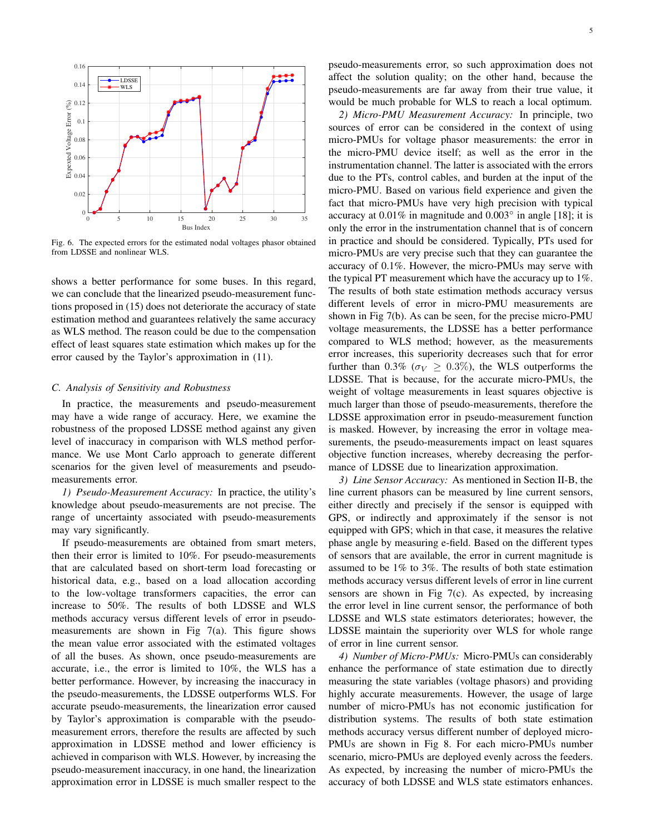

Fig. 6. The expected errors for the estimated nodal voltages phasor obtained from LDSSE and nonlinear WLS.

shows a better performance for some buses. In this regard, we can conclude that the linearized pseudo-measurement functions proposed in (15) does not deteriorate the accuracy of state estimation method and guarantees relatively the same accuracy as WLS method. The reason could be due to the compensation effect of least squares state estimation which makes up for the error caused by the Taylor's approximation in (11).

### *C. Analysis of Sensitivity and Robustness*

In practice, the measurements and pseudo-measurement may have a wide range of accuracy. Here, we examine the robustness of the proposed LDSSE method against any given level of inaccuracy in comparison with WLS method performance. We use Mont Carlo approach to generate different scenarios for the given level of measurements and pseudomeasurements error.

*1) Pseudo-Measurement Accuracy:* In practice, the utility's knowledge about pseudo-measurements are not precise. The range of uncertainty associated with pseudo-measurements may vary significantly.

If pseudo-measurements are obtained from smart meters, then their error is limited to 10%. For pseudo-measurements that are calculated based on short-term load forecasting or historical data, e.g., based on a load allocation according to the low-voltage transformers capacities, the error can increase to 50%. The results of both LDSSE and WLS methods accuracy versus different levels of error in pseudomeasurements are shown in Fig  $7(a)$ . This figure shows the mean value error associated with the estimated voltages of all the buses. As shown, once pseudo-measurements are accurate, i.e., the error is limited to 10%, the WLS has a better performance. However, by increasing the inaccuracy in the pseudo-measurements, the LDSSE outperforms WLS. For accurate pseudo-measurements, the linearization error caused by Taylor's approximation is comparable with the pseudomeasurement errors, therefore the results are affected by such approximation in LDSSE method and lower efficiency is achieved in comparison with WLS. However, by increasing the pseudo-measurement inaccuracy, in one hand, the linearization approximation error in LDSSE is much smaller respect to the pseudo-measurements error, so such approximation does not affect the solution quality; on the other hand, because the pseudo-measurements are far away from their true value, it would be much probable for WLS to reach a local optimum.

*2) Micro-PMU Measurement Accuracy:* In principle, two sources of error can be considered in the context of using micro-PMUs for voltage phasor measurements: the error in the micro-PMU device itself; as well as the error in the instrumentation channel. The latter is associated with the errors due to the PTs, control cables, and burden at the input of the micro-PMU. Based on various field experience and given the fact that micro-PMUs have very high precision with typical accuracy at  $0.01\%$  in magnitude and  $0.003\degree$  in angle [18]; it is only the error in the instrumentation channel that is of concern in practice and should be considered. Typically, PTs used for micro-PMUs are very precise such that they can guarantee the accuracy of 0.1%. However, the micro-PMUs may serve with the typical PT measurement which have the accuracy up to 1%. The results of both state estimation methods accuracy versus different levels of error in micro-PMU measurements are shown in Fig 7(b). As can be seen, for the precise micro-PMU voltage measurements, the LDSSE has a better performance compared to WLS method; however, as the measurements error increases, this superiority decreases such that for error further than 0.3% ( $\sigma_V \ge 0.3\%$ ), the WLS outperforms the LDSSE. That is because, for the accurate micro-PMUs, the weight of voltage measurements in least squares objective is much larger than those of pseudo-measurements, therefore the LDSSE approximation error in pseudo-measurement function is masked. However, by increasing the error in voltage measurements, the pseudo-measurements impact on least squares objective function increases, whereby decreasing the performance of LDSSE due to linearization approximation.

*3) Line Sensor Accuracy:* As mentioned in Section II-B, the line current phasors can be measured by line current sensors, either directly and precisely if the sensor is equipped with GPS, or indirectly and approximately if the sensor is not equipped with GPS; which in that case, it measures the relative phase angle by measuring e-field. Based on the different types of sensors that are available, the error in current magnitude is assumed to be 1% to 3%. The results of both state estimation methods accuracy versus different levels of error in line current sensors are shown in Fig  $7(c)$ . As expected, by increasing the error level in line current sensor, the performance of both LDSSE and WLS state estimators deteriorates; however, the LDSSE maintain the superiority over WLS for whole range of error in line current sensor.

*4) Number of Micro-PMUs:* Micro-PMUs can considerably enhance the performance of state estimation due to directly measuring the state variables (voltage phasors) and providing highly accurate measurements. However, the usage of large number of micro-PMUs has not economic justification for distribution systems. The results of both state estimation methods accuracy versus different number of deployed micro-PMUs are shown in Fig 8. For each micro-PMUs number scenario, micro-PMUs are deployed evenly across the feeders. As expected, by increasing the number of micro-PMUs the accuracy of both LDSSE and WLS state estimators enhances.